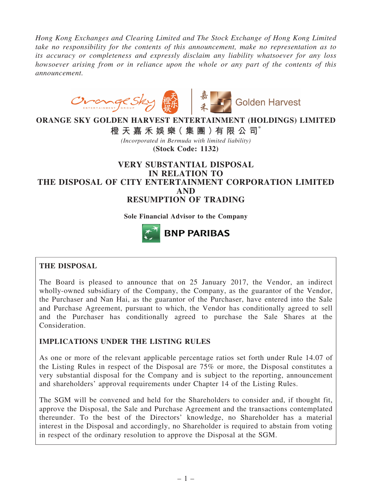*Hong Kong Exchanges and Clearing Limited and The Stock Exchange of Hong Kong Limited take no responsibility for the contents of this announcement, make no representation as to its accuracy or completeness and expressly disclaim any liability whatsoever for any loss howsoever arising from or in reliance upon the whole or any part of the contents of this announcement.*



# ORANGE SKY GOLDEN HARVEST ENTERTAINMENT (HOLDINGS) LIMITED

橙 天 嘉 禾 娛 樂( 集 團 )有 限 公 司\*

*(Incorporated in Bermuda with limited liability)* (Stock Code: 1132)

# VERY SUBSTANTIAL DISPOSAL IN RELATION TO THE DISPOSAL OF CITY ENTERTAINMENT CORPORATION LIMITED AND RESUMPTION OF TRADING

Sole Financial Advisor to the Company



# THE DISPOSAL

The Board is pleased to announce that on 25 January 2017, the Vendor, an indirect wholly-owned subsidiary of the Company, the Company, as the guarantor of the Vendor, the Purchaser and Nan Hai, as the guarantor of the Purchaser, have entered into the Sale and Purchase Agreement, pursuant to which, the Vendor has conditionally agreed to sell and the Purchaser has conditionally agreed to purchase the Sale Shares at the Consideration.

# IMPLICATIONS UNDER THE LISTING RULES

As one or more of the relevant applicable percentage ratios set forth under Rule 14.07 of the Listing Rules in respect of the Disposal are 75% or more, the Disposal constitutes a very substantial disposal for the Company and is subject to the reporting, announcement and shareholders' approval requirements under Chapter 14 of the Listing Rules.

The SGM will be convened and held for the Shareholders to consider and, if thought fit, approve the Disposal, the Sale and Purchase Agreement and the transactions contemplated thereunder. To the best of the Directors' knowledge, no Shareholder has a material interest in the Disposal and accordingly, no Shareholder is required to abstain from voting in respect of the ordinary resolution to approve the Disposal at the SGM.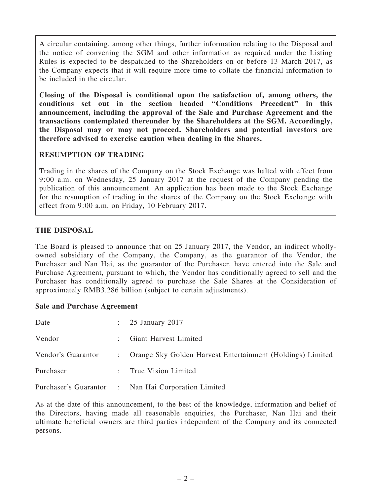A circular containing, among other things, further information relating to the Disposal and the notice of convening the SGM and other information as required under the Listing Rules is expected to be despatched to the Shareholders on or before 13 March 2017, as the Company expects that it will require more time to collate the financial information to be included in the circular.

Closing of the Disposal is conditional upon the satisfaction of, among others, the conditions set out in the section headed ''Conditions Precedent'' in this announcement, including the approval of the Sale and Purchase Agreement and the transactions contemplated thereunder by the Shareholders at the SGM. Accordingly, the Disposal may or may not proceed. Shareholders and potential investors are therefore advised to exercise caution when dealing in the Shares.

# RESUMPTION OF TRADING

Trading in the shares of the Company on the Stock Exchange was halted with effect from 9:00 a.m. on Wednesday, 25 January 2017 at the request of the Company pending the publication of this announcement. An application has been made to the Stock Exchange for the resumption of trading in the shares of the Company on the Stock Exchange with effect from 9:00 a.m. on Friday, 10 February 2017.

## THE DISPOSAL

The Board is pleased to announce that on 25 January 2017, the Vendor, an indirect whollyowned subsidiary of the Company, the Company, as the guarantor of the Vendor, the Purchaser and Nan Hai, as the guarantor of the Purchaser, have entered into the Sale and Purchase Agreement, pursuant to which, the Vendor has conditionally agreed to sell and the Purchaser has conditionally agreed to purchase the Sale Shares at the Consideration of approximately RMB3.286 billion (subject to certain adjustments).

#### Sale and Purchase Agreement

| Date               | $\therefore$ 25 January 2017                                 |
|--------------------|--------------------------------------------------------------|
| Vendor             | : Giant Harvest Limited                                      |
| Vendor's Guarantor | : Orange Sky Golden Harvest Entertainment (Holdings) Limited |
| Purchaser          | : True Vision Limited                                        |
|                    | Purchaser's Guarantor : Nan Hai Corporation Limited          |

As at the date of this announcement, to the best of the knowledge, information and belief of the Directors, having made all reasonable enquiries, the Purchaser, Nan Hai and their ultimate beneficial owners are third parties independent of the Company and its connected persons.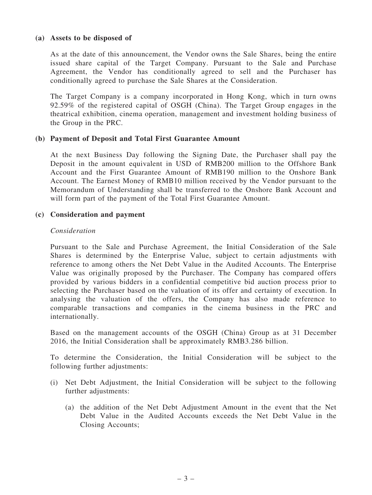#### (a) Assets to be disposed of

As at the date of this announcement, the Vendor owns the Sale Shares, being the entire issued share capital of the Target Company. Pursuant to the Sale and Purchase Agreement, the Vendor has conditionally agreed to sell and the Purchaser has conditionally agreed to purchase the Sale Shares at the Consideration.

The Target Company is a company incorporated in Hong Kong, which in turn owns 92.59% of the registered capital of OSGH (China). The Target Group engages in the theatrical exhibition, cinema operation, management and investment holding business of the Group in the PRC.

#### (b) Payment of Deposit and Total First Guarantee Amount

At the next Business Day following the Signing Date, the Purchaser shall pay the Deposit in the amount equivalent in USD of RMB200 million to the Offshore Bank Account and the First Guarantee Amount of RMB190 million to the Onshore Bank Account. The Earnest Money of RMB10 million received by the Vendor pursuant to the Memorandum of Understanding shall be transferred to the Onshore Bank Account and will form part of the payment of the Total First Guarantee Amount.

#### (c) Consideration and payment

#### *Consideration*

Pursuant to the Sale and Purchase Agreement, the Initial Consideration of the Sale Shares is determined by the Enterprise Value, subject to certain adjustments with reference to among others the Net Debt Value in the Audited Accounts. The Enterprise Value was originally proposed by the Purchaser. The Company has compared offers provided by various bidders in a confidential competitive bid auction process prior to selecting the Purchaser based on the valuation of its offer and certainty of execution. In analysing the valuation of the offers, the Company has also made reference to comparable transactions and companies in the cinema business in the PRC and internationally.

Based on the management accounts of the OSGH (China) Group as at 31 December 2016, the Initial Consideration shall be approximately RMB3.286 billion.

To determine the Consideration, the Initial Consideration will be subject to the following further adjustments:

- (i) Net Debt Adjustment, the Initial Consideration will be subject to the following further adjustments:
	- (a) the addition of the Net Debt Adjustment Amount in the event that the Net Debt Value in the Audited Accounts exceeds the Net Debt Value in the Closing Accounts;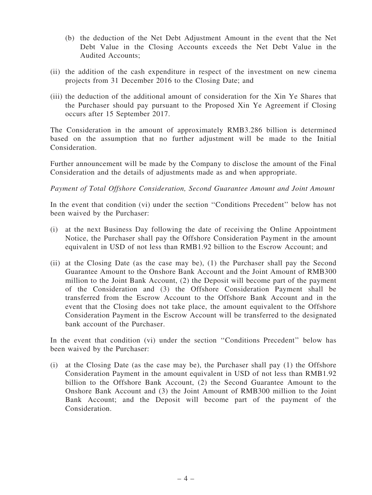- (b) the deduction of the Net Debt Adjustment Amount in the event that the Net Debt Value in the Closing Accounts exceeds the Net Debt Value in the Audited Accounts;
- (ii) the addition of the cash expenditure in respect of the investment on new cinema projects from 31 December 2016 to the Closing Date; and
- (iii) the deduction of the additional amount of consideration for the Xin Ye Shares that the Purchaser should pay pursuant to the Proposed Xin Ye Agreement if Closing occurs after 15 September 2017.

The Consideration in the amount of approximately RMB3.286 billion is determined based on the assumption that no further adjustment will be made to the Initial Consideration.

Further announcement will be made by the Company to disclose the amount of the Final Consideration and the details of adjustments made as and when appropriate.

*Payment of Total Offshore Consideration, Second Guarantee Amount and Joint Amount*

In the event that condition (vi) under the section "Conditions Precedent" below has not been waived by the Purchaser:

- (i) at the next Business Day following the date of receiving the Online Appointment Notice, the Purchaser shall pay the Offshore Consideration Payment in the amount equivalent in USD of not less than RMB1.92 billion to the Escrow Account; and
- (ii) at the Closing Date (as the case may be), (1) the Purchaser shall pay the Second Guarantee Amount to the Onshore Bank Account and the Joint Amount of RMB300 million to the Joint Bank Account, (2) the Deposit will become part of the payment of the Consideration and (3) the Offshore Consideration Payment shall be transferred from the Escrow Account to the Offshore Bank Account and in the event that the Closing does not take place, the amount equivalent to the Offshore Consideration Payment in the Escrow Account will be transferred to the designated bank account of the Purchaser.

In the event that condition (vi) under the section "Conditions Precedent" below has been waived by the Purchaser:

(i) at the Closing Date (as the case may be), the Purchaser shall pay (1) the Offshore Consideration Payment in the amount equivalent in USD of not less than RMB1.92 billion to the Offshore Bank Account, (2) the Second Guarantee Amount to the Onshore Bank Account and (3) the Joint Amount of RMB300 million to the Joint Bank Account; and the Deposit will become part of the payment of the Consideration.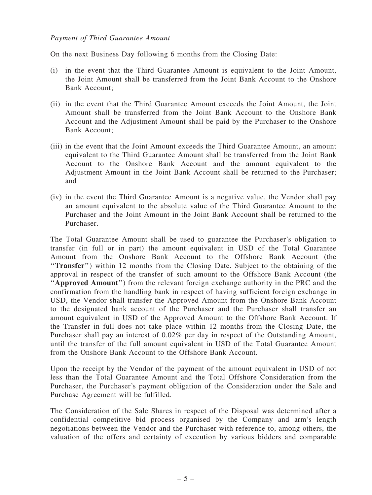#### *Payment of Third Guarantee Amount*

On the next Business Day following 6 months from the Closing Date:

- (i) in the event that the Third Guarantee Amount is equivalent to the Joint Amount, the Joint Amount shall be transferred from the Joint Bank Account to the Onshore Bank Account;
- (ii) in the event that the Third Guarantee Amount exceeds the Joint Amount, the Joint Amount shall be transferred from the Joint Bank Account to the Onshore Bank Account and the Adjustment Amount shall be paid by the Purchaser to the Onshore Bank Account;
- (iii) in the event that the Joint Amount exceeds the Third Guarantee Amount, an amount equivalent to the Third Guarantee Amount shall be transferred from the Joint Bank Account to the Onshore Bank Account and the amount equivalent to the Adjustment Amount in the Joint Bank Account shall be returned to the Purchaser; and
- (iv) in the event the Third Guarantee Amount is a negative value, the Vendor shall pay an amount equivalent to the absolute value of the Third Guarantee Amount to the Purchaser and the Joint Amount in the Joint Bank Account shall be returned to the Purchaser.

The Total Guarantee Amount shall be used to guarantee the Purchaser's obligation to transfer (in full or in part) the amount equivalent in USD of the Total Guarantee Amount from the Onshore Bank Account to the Offshore Bank Account (the "Transfer") within 12 months from the Closing Date. Subject to the obtaining of the approval in respect of the transfer of such amount to the Offshore Bank Account (the "Approved Amount") from the relevant foreign exchange authority in the PRC and the confirmation from the handling bank in respect of having sufficient foreign exchange in USD, the Vendor shall transfer the Approved Amount from the Onshore Bank Account to the designated bank account of the Purchaser and the Purchaser shall transfer an amount equivalent in USD of the Approved Amount to the Offshore Bank Account. If the Transfer in full does not take place within 12 months from the Closing Date, the Purchaser shall pay an interest of 0.02% per day in respect of the Outstanding Amount, until the transfer of the full amount equivalent in USD of the Total Guarantee Amount from the Onshore Bank Account to the Offshore Bank Account.

Upon the receipt by the Vendor of the payment of the amount equivalent in USD of not less than the Total Guarantee Amount and the Total Offshore Consideration from the Purchaser, the Purchaser's payment obligation of the Consideration under the Sale and Purchase Agreement will be fulfilled.

The Consideration of the Sale Shares in respect of the Disposal was determined after a confidential competitive bid process organised by the Company and arm's length negotiations between the Vendor and the Purchaser with reference to, among others, the valuation of the offers and certainty of execution by various bidders and comparable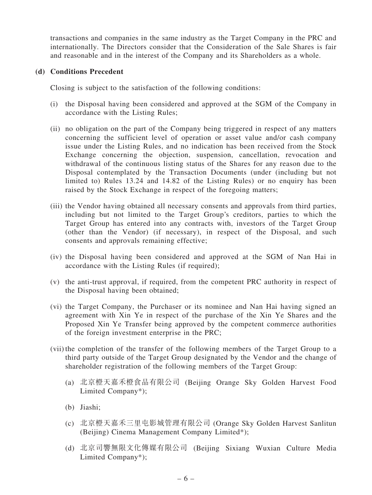transactions and companies in the same industry as the Target Company in the PRC and internationally. The Directors consider that the Consideration of the Sale Shares is fair and reasonable and in the interest of the Company and its Shareholders as a whole.

#### (d) Conditions Precedent

Closing is subject to the satisfaction of the following conditions:

- (i) the Disposal having been considered and approved at the SGM of the Company in accordance with the Listing Rules;
- (ii) no obligation on the part of the Company being triggered in respect of any matters concerning the sufficient level of operation or asset value and/or cash company issue under the Listing Rules, and no indication has been received from the Stock Exchange concerning the objection, suspension, cancellation, revocation and withdrawal of the continuous listing status of the Shares for any reason due to the Disposal contemplated by the Transaction Documents (under (including but not limited to) Rules 13.24 and 14.82 of the Listing Rules) or no enquiry has been raised by the Stock Exchange in respect of the foregoing matters;
- (iii) the Vendor having obtained all necessary consents and approvals from third parties, including but not limited to the Target Group's creditors, parties to which the Target Group has entered into any contracts with, investors of the Target Group (other than the Vendor) (if necessary), in respect of the Disposal, and such consents and approvals remaining effective;
- (iv) the Disposal having been considered and approved at the SGM of Nan Hai in accordance with the Listing Rules (if required);
- (v) the anti-trust approval, if required, from the competent PRC authority in respect of the Disposal having been obtained;
- (vi) the Target Company, the Purchaser or its nominee and Nan Hai having signed an agreement with Xin Ye in respect of the purchase of the Xin Ye Shares and the Proposed Xin Ye Transfer being approved by the competent commerce authorities of the foreign investment enterprise in the PRC;
- (vii) the completion of the transfer of the following members of the Target Group to a third party outside of the Target Group designated by the Vendor and the change of shareholder registration of the following members of the Target Group:
	- (a) 北京橙天嘉禾橙食品有限公司 (Beijing Orange Sky Golden Harvest Food Limited Company\*);
	- (b) Jiashi;
	- (c) 北京橙天嘉禾三里屯影城管理有限公司 (Orange Sky Golden Harvest Sanlitun (Beijing) Cinema Management Company Limited\*);
	- (d) 北京司響無限文化傳媒有限公司 (Beijing Sixiang Wuxian Culture Media Limited Company\*);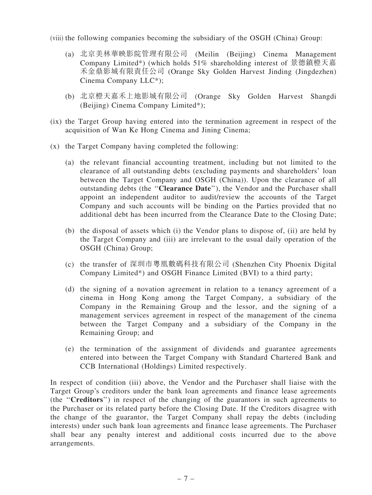(viii) the following companies becoming the subsidiary of the OSGH (China) Group:

- (a) 北京美林華映影院管理有限公司 (Meilin (Beijing) Cinema Management Company Limited\*) (which holds 51% shareholding interest of 景德鎮橙天嘉 禾金鼎影城有限責任公司 (Orange Sky Golden Harvest Jinding (Jingdezhen) Cinema Company LLC\*);
- (b) 北京橙天嘉禾上地影城有限公司 (Orange Sky Golden Harvest Shangdi (Beijing) Cinema Company Limited\*);
- (ix) the Target Group having entered into the termination agreement in respect of the acquisition of Wan Ke Hong Cinema and Jining Cinema;
- (x) the Target Company having completed the following:
	- (a) the relevant financial accounting treatment, including but not limited to the clearance of all outstanding debts (excluding payments and shareholders' loan between the Target Company and OSGH (China)). Upon the clearance of all outstanding debts (the ''Clearance Date''), the Vendor and the Purchaser shall appoint an independent auditor to audit/review the accounts of the Target Company and such accounts will be binding on the Parties provided that no additional debt has been incurred from the Clearance Date to the Closing Date;
	- (b) the disposal of assets which (i) the Vendor plans to dispose of, (ii) are held by the Target Company and (iii) are irrelevant to the usual daily operation of the OSGH (China) Group;
	- (c) the transfer of 深圳市粵凰數碼科技有限公司 (Shenzhen City Phoenix Digital Company Limited\*) and OSGH Finance Limited (BVI) to a third party;
	- (d) the signing of a novation agreement in relation to a tenancy agreement of a cinema in Hong Kong among the Target Company, a subsidiary of the Company in the Remaining Group and the lessor, and the signing of a management services agreement in respect of the management of the cinema between the Target Company and a subsidiary of the Company in the Remaining Group; and
	- (e) the termination of the assignment of dividends and guarantee agreements entered into between the Target Company with Standard Chartered Bank and CCB International (Holdings) Limited respectively.

In respect of condition (iii) above, the Vendor and the Purchaser shall liaise with the Target Group's creditors under the bank loan agreements and finance lease agreements (the ''Creditors'') in respect of the changing of the guarantors in such agreements to the Purchaser or its related party before the Closing Date. If the Creditors disagree with the change of the guarantor, the Target Company shall repay the debts (including interests) under such bank loan agreements and finance lease agreements. The Purchaser shall bear any penalty interest and additional costs incurred due to the above arrangements.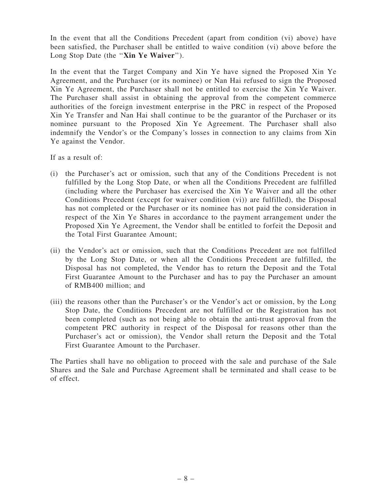In the event that all the Conditions Precedent (apart from condition (vi) above) have been satisfied, the Purchaser shall be entitled to waive condition (vi) above before the Long Stop Date (the "Xin Ye Waiver").

In the event that the Target Company and Xin Ye have signed the Proposed Xin Ye Agreement, and the Purchaser (or its nominee) or Nan Hai refused to sign the Proposed Xin Ye Agreement, the Purchaser shall not be entitled to exercise the Xin Ye Waiver. The Purchaser shall assist in obtaining the approval from the competent commerce authorities of the foreign investment enterprise in the PRC in respect of the Proposed Xin Ye Transfer and Nan Hai shall continue to be the guarantor of the Purchaser or its nominee pursuant to the Proposed Xin Ye Agreement. The Purchaser shall also indemnify the Vendor's or the Company's losses in connection to any claims from Xin Ye against the Vendor.

If as a result of:

- (i) the Purchaser's act or omission, such that any of the Conditions Precedent is not fulfilled by the Long Stop Date, or when all the Conditions Precedent are fulfilled (including where the Purchaser has exercised the Xin Ye Waiver and all the other Conditions Precedent (except for waiver condition (vi)) are fulfilled), the Disposal has not completed or the Purchaser or its nominee has not paid the consideration in respect of the Xin Ye Shares in accordance to the payment arrangement under the Proposed Xin Ye Agreement, the Vendor shall be entitled to forfeit the Deposit and the Total First Guarantee Amount;
- (ii) the Vendor's act or omission, such that the Conditions Precedent are not fulfilled by the Long Stop Date, or when all the Conditions Precedent are fulfilled, the Disposal has not completed, the Vendor has to return the Deposit and the Total First Guarantee Amount to the Purchaser and has to pay the Purchaser an amount of RMB400 million; and
- (iii) the reasons other than the Purchaser's or the Vendor's act or omission, by the Long Stop Date, the Conditions Precedent are not fulfilled or the Registration has not been completed (such as not being able to obtain the anti-trust approval from the competent PRC authority in respect of the Disposal for reasons other than the Purchaser's act or omission), the Vendor shall return the Deposit and the Total First Guarantee Amount to the Purchaser.

The Parties shall have no obligation to proceed with the sale and purchase of the Sale Shares and the Sale and Purchase Agreement shall be terminated and shall cease to be of effect.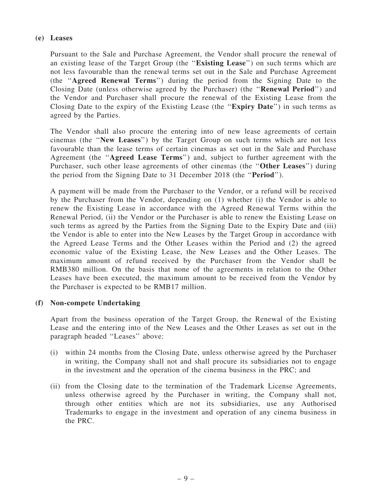## (e) Leases

Pursuant to the Sale and Purchase Agreement, the Vendor shall procure the renewal of an existing lease of the Target Group (the ''Existing Lease'') on such terms which are not less favourable than the renewal terms set out in the Sale and Purchase Agreement (the ''Agreed Renewal Terms'') during the period from the Signing Date to the Closing Date (unless otherwise agreed by the Purchaser) (the ''Renewal Period'') and the Vendor and Purchaser shall procure the renewal of the Existing Lease from the Closing Date to the expiry of the Existing Lease (the ''Expiry Date'') in such terms as agreed by the Parties.

The Vendor shall also procure the entering into of new lease agreements of certain cinemas (the ''New Leases'') by the Target Group on such terms which are not less favourable than the lease terms of certain cinemas as set out in the Sale and Purchase Agreement (the ''Agreed Lease Terms'') and, subject to further agreement with the Purchaser, such other lease agreements of other cinemas (the ''Other Leases'') during the period from the Signing Date to 31 December 2018 (the ''Period'').

A payment will be made from the Purchaser to the Vendor, or a refund will be received by the Purchaser from the Vendor, depending on (1) whether (i) the Vendor is able to renew the Existing Lease in accordance with the Agreed Renewal Terms within the Renewal Period, (ii) the Vendor or the Purchaser is able to renew the Existing Lease on such terms as agreed by the Parties from the Signing Date to the Expiry Date and (iii) the Vendor is able to enter into the New Leases by the Target Group in accordance with the Agreed Lease Terms and the Other Leases within the Period and (2) the agreed economic value of the Existing Lease, the New Leases and the Other Leases. The maximum amount of refund received by the Purchaser from the Vendor shall be RMB380 million. On the basis that none of the agreements in relation to the Other Leases have been executed, the maximum amount to be received from the Vendor by the Purchaser is expected to be RMB17 million.

# (f) Non-compete Undertaking

Apart from the business operation of the Target Group, the Renewal of the Existing Lease and the entering into of the New Leases and the Other Leases as set out in the paragraph headed ''Leases'' above:

- (i) within 24 months from the Closing Date, unless otherwise agreed by the Purchaser in writing, the Company shall not and shall procure its subsidiaries not to engage in the investment and the operation of the cinema business in the PRC; and
- (ii) from the Closing date to the termination of the Trademark License Agreements, unless otherwise agreed by the Purchaser in writing, the Company shall not, through other entities which are not its subsidiaries, use any Authorised Trademarks to engage in the investment and operation of any cinema business in the PRC.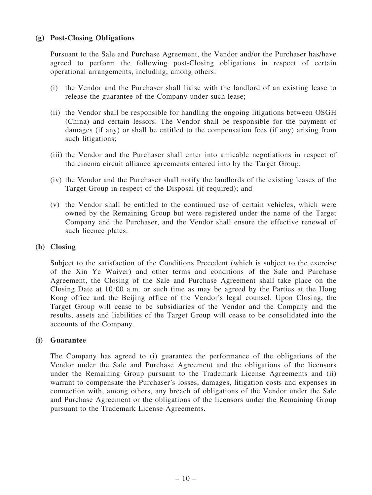## (g) Post-Closing Obligations

Pursuant to the Sale and Purchase Agreement, the Vendor and/or the Purchaser has/have agreed to perform the following post-Closing obligations in respect of certain operational arrangements, including, among others:

- (i) the Vendor and the Purchaser shall liaise with the landlord of an existing lease to release the guarantee of the Company under such lease;
- (ii) the Vendor shall be responsible for handling the ongoing litigations between OSGH (China) and certain lessors. The Vendor shall be responsible for the payment of damages (if any) or shall be entitled to the compensation fees (if any) arising from such litigations;
- (iii) the Vendor and the Purchaser shall enter into amicable negotiations in respect of the cinema circuit alliance agreements entered into by the Target Group;
- (iv) the Vendor and the Purchaser shall notify the landlords of the existing leases of the Target Group in respect of the Disposal (if required); and
- (v) the Vendor shall be entitled to the continued use of certain vehicles, which were owned by the Remaining Group but were registered under the name of the Target Company and the Purchaser, and the Vendor shall ensure the effective renewal of such licence plates.

#### (h) Closing

Subject to the satisfaction of the Conditions Precedent (which is subject to the exercise of the Xin Ye Waiver) and other terms and conditions of the Sale and Purchase Agreement, the Closing of the Sale and Purchase Agreement shall take place on the Closing Date at 10:00 a.m. or such time as may be agreed by the Parties at the Hong Kong office and the Beijing office of the Vendor's legal counsel. Upon Closing, the Target Group will cease to be subsidiaries of the Vendor and the Company and the results, assets and liabilities of the Target Group will cease to be consolidated into the accounts of the Company.

#### (i) Guarantee

The Company has agreed to (i) guarantee the performance of the obligations of the Vendor under the Sale and Purchase Agreement and the obligations of the licensors under the Remaining Group pursuant to the Trademark License Agreements and (ii) warrant to compensate the Purchaser's losses, damages, litigation costs and expenses in connection with, among others, any breach of obligations of the Vendor under the Sale and Purchase Agreement or the obligations of the licensors under the Remaining Group pursuant to the Trademark License Agreements.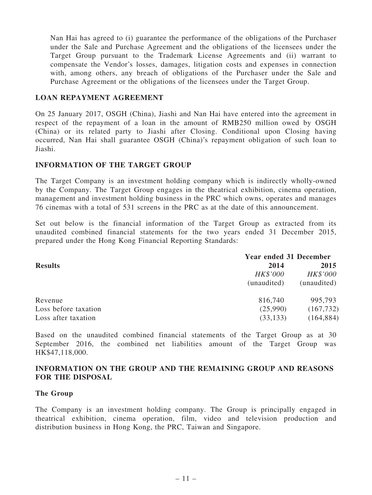Nan Hai has agreed to (i) guarantee the performance of the obligations of the Purchaser under the Sale and Purchase Agreement and the obligations of the licensees under the Target Group pursuant to the Trademark License Agreements and (ii) warrant to compensate the Vendor's losses, damages, litigation costs and expenses in connection with, among others, any breach of obligations of the Purchaser under the Sale and Purchase Agreement or the obligations of the licensees under the Target Group.

#### LOAN REPAYMENT AGREEMENT

On 25 January 2017, OSGH (China), Jiashi and Nan Hai have entered into the agreement in respect of the repayment of a loan in the amount of RMB250 million owed by OSGH (China) or its related party to Jiashi after Closing. Conditional upon Closing having occurred, Nan Hai shall guarantee OSGH (China)'s repayment obligation of such loan to Jiashi.

#### INFORMATION OF THE TARGET GROUP

The Target Company is an investment holding company which is indirectly wholly-owned by the Company. The Target Group engages in the theatrical exhibition, cinema operation, management and investment holding business in the PRC which owns, operates and manages 76 cinemas with a total of 531 screens in the PRC as at the date of this announcement.

Set out below is the financial information of the Target Group as extracted from its unaudited combined financial statements for the two years ended 31 December 2015, prepared under the Hong Kong Financial Reporting Standards:

| <b>Year ended 31 December</b> |             |
|-------------------------------|-------------|
| 2014                          | 2015        |
| HK\$'000                      | HK\$'000    |
| (unaudited)                   | (unaudited) |
| 816,740                       | 995,793     |
| (25,990)                      | (167, 732)  |
| (33, 133)                     | (164, 884)  |
|                               |             |

Based on the unaudited combined financial statements of the Target Group as at 30 September 2016, the combined net liabilities amount of the Target Group was HK\$47,118,000.

## INFORMATION ON THE GROUP AND THE REMAINING GROUP AND REASONS FOR THE DISPOSAL

#### The Group

The Company is an investment holding company. The Group is principally engaged in theatrical exhibition, cinema operation, film, video and television production and distribution business in Hong Kong, the PRC, Taiwan and Singapore.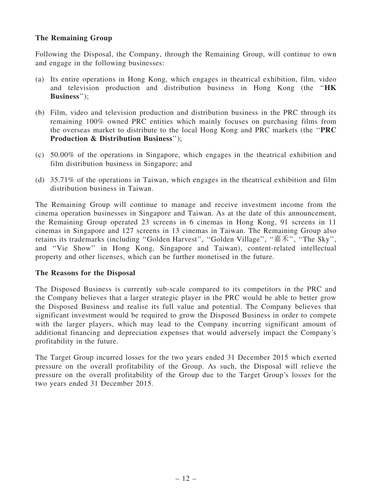# The Remaining Group

Following the Disposal, the Company, through the Remaining Group, will continue to own and engage in the following businesses:

- (a) Its entire operations in Hong Kong, which engages in theatrical exhibition, film, video and television production and distribution business in Hong Kong (the "HK Business'');
- (b) Film, video and television production and distribution business in the PRC through its remaining 100% owned PRC entities which mainly focuses on purchasing films from the overseas market to distribute to the local Hong Kong and PRC markets (the ''PRC Production & Distribution Business'');
- (c) 50.00% of the operations in Singapore, which engages in the theatrical exhibition and film distribution business in Singapore; and
- (d) 35.71% of the operations in Taiwan, which engages in the theatrical exhibition and film distribution business in Taiwan.

The Remaining Group will continue to manage and receive investment income from the cinema operation businesses in Singapore and Taiwan. As at the date of this announcement, the Remaining Group operated 23 screens in 6 cinemas in Hong Kong, 91 screens in 11 cinemas in Singapore and 127 screens in 13 cinemas in Taiwan. The Remaining Group also retains its trademarks (including ''Golden Harvest'', ''Golden Village'', ''嘉禾'', ''The Sky'', and ''Vie Show'' in Hong Kong, Singapore and Taiwan), content-related intellectual property and other licenses, which can be further monetised in the future.

#### The Reasons for the Disposal

The Disposed Business is currently sub-scale compared to its competitors in the PRC and the Company believes that a larger strategic player in the PRC would be able to better grow the Disposed Business and realise its full value and potential. The Company believes that significant investment would be required to grow the Disposed Business in order to compete with the larger players, which may lead to the Company incurring significant amount of additional financing and depreciation expenses that would adversely impact the Company's profitability in the future.

The Target Group incurred losses for the two years ended 31 December 2015 which exerted pressure on the overall profitability of the Group. As such, the Disposal will relieve the pressure on the overall profitability of the Group due to the Target Group's losses for the two years ended 31 December 2015.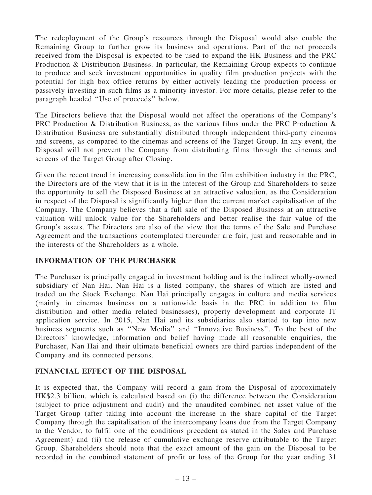The redeployment of the Group's resources through the Disposal would also enable the Remaining Group to further grow its business and operations. Part of the net proceeds received from the Disposal is expected to be used to expand the HK Business and the PRC Production & Distribution Business. In particular, the Remaining Group expects to continue to produce and seek investment opportunities in quality film production projects with the potential for high box office returns by either actively leading the production process or passively investing in such films as a minority investor. For more details, please refer to the paragraph headed ''Use of proceeds'' below.

The Directors believe that the Disposal would not affect the operations of the Company's PRC Production & Distribution Business, as the various films under the PRC Production & Distribution Business are substantially distributed through independent third-party cinemas and screens, as compared to the cinemas and screens of the Target Group. In any event, the Disposal will not prevent the Company from distributing films through the cinemas and screens of the Target Group after Closing.

Given the recent trend in increasing consolidation in the film exhibition industry in the PRC, the Directors are of the view that it is in the interest of the Group and Shareholders to seize the opportunity to sell the Disposed Business at an attractive valuation, as the Consideration in respect of the Disposal is significantly higher than the current market capitalisation of the Company. The Company believes that a full sale of the Disposed Business at an attractive valuation will unlock value for the Shareholders and better realise the fair value of the Group's assets. The Directors are also of the view that the terms of the Sale and Purchase Agreement and the transactions contemplated thereunder are fair, just and reasonable and in the interests of the Shareholders as a whole.

# INFORMATION OF THE PURCHASER

The Purchaser is principally engaged in investment holding and is the indirect wholly-owned subsidiary of Nan Hai. Nan Hai is a listed company, the shares of which are listed and traded on the Stock Exchange. Nan Hai principally engages in culture and media services (mainly in cinemas business on a nationwide basis in the PRC in addition to film distribution and other media related businesses), property development and corporate IT application service. In 2015, Nan Hai and its subsidiaries also started to tap into new business segments such as ''New Media'' and ''Innovative Business''. To the best of the Directors' knowledge, information and belief having made all reasonable enquiries, the Purchaser, Nan Hai and their ultimate beneficial owners are third parties independent of the Company and its connected persons.

# FINANCIAL EFFECT OF THE DISPOSAL

It is expected that, the Company will record a gain from the Disposal of approximately HK\$2.3 billion, which is calculated based on (i) the difference between the Consideration (subject to price adjustment and audit) and the unaudited combined net asset value of the Target Group (after taking into account the increase in the share capital of the Target Company through the capitalisation of the intercompany loans due from the Target Company to the Vendor, to fulfil one of the conditions precedent as stated in the Sales and Purchase Agreement) and (ii) the release of cumulative exchange reserve attributable to the Target Group. Shareholders should note that the exact amount of the gain on the Disposal to be recorded in the combined statement of profit or loss of the Group for the year ending 31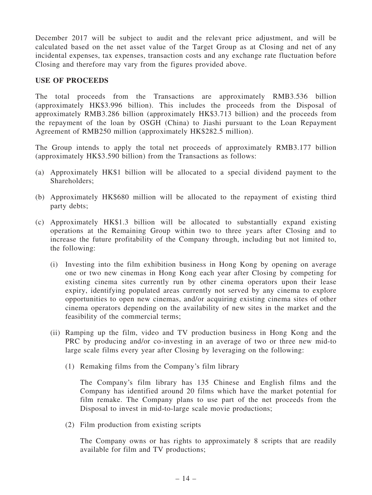December 2017 will be subject to audit and the relevant price adjustment, and will be calculated based on the net asset value of the Target Group as at Closing and net of any incidental expenses, tax expenses, transaction costs and any exchange rate fluctuation before Closing and therefore may vary from the figures provided above.

## USE OF PROCEEDS

The total proceeds from the Transactions are approximately RMB3.536 billion (approximately HK\$3.996 billion). This includes the proceeds from the Disposal of approximately RMB3.286 billion (approximately HK\$3.713 billion) and the proceeds from the repayment of the loan by OSGH (China) to Jiashi pursuant to the Loan Repayment Agreement of RMB250 million (approximately HK\$282.5 million).

The Group intends to apply the total net proceeds of approximately RMB3.177 billion (approximately HK\$3.590 billion) from the Transactions as follows:

- (a) Approximately HK\$1 billion will be allocated to a special dividend payment to the Shareholders;
- (b) Approximately HK\$680 million will be allocated to the repayment of existing third party debts;
- (c) Approximately HK\$1.3 billion will be allocated to substantially expand existing operations at the Remaining Group within two to three years after Closing and to increase the future profitability of the Company through, including but not limited to, the following:
	- (i) Investing into the film exhibition business in Hong Kong by opening on average one or two new cinemas in Hong Kong each year after Closing by competing for existing cinema sites currently run by other cinema operators upon their lease expiry, identifying populated areas currently not served by any cinema to explore opportunities to open new cinemas, and/or acquiring existing cinema sites of other cinema operators depending on the availability of new sites in the market and the feasibility of the commercial terms;
	- (ii) Ramping up the film, video and TV production business in Hong Kong and the PRC by producing and/or co-investing in an average of two or three new mid-to large scale films every year after Closing by leveraging on the following:
		- (1) Remaking films from the Company's film library

The Company's film library has 135 Chinese and English films and the Company has identified around 20 films which have the market potential for film remake. The Company plans to use part of the net proceeds from the Disposal to invest in mid-to-large scale movie productions;

(2) Film production from existing scripts

The Company owns or has rights to approximately 8 scripts that are readily available for film and TV productions;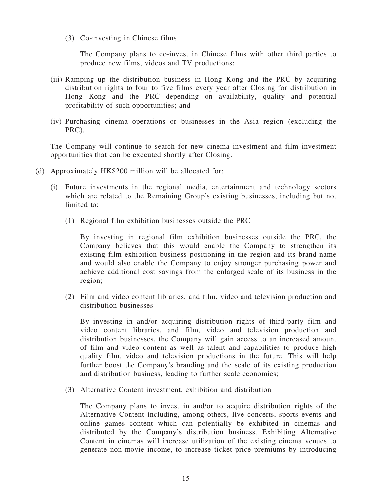(3) Co-investing in Chinese films

The Company plans to co-invest in Chinese films with other third parties to produce new films, videos and TV productions;

- (iii) Ramping up the distribution business in Hong Kong and the PRC by acquiring distribution rights to four to five films every year after Closing for distribution in Hong Kong and the PRC depending on availability, quality and potential profitability of such opportunities; and
- (iv) Purchasing cinema operations or businesses in the Asia region (excluding the PRC).

The Company will continue to search for new cinema investment and film investment opportunities that can be executed shortly after Closing.

- (d) Approximately HK\$200 million will be allocated for:
	- (i) Future investments in the regional media, entertainment and technology sectors which are related to the Remaining Group's existing businesses, including but not limited to:
		- (1) Regional film exhibition businesses outside the PRC

By investing in regional film exhibition businesses outside the PRC, the Company believes that this would enable the Company to strengthen its existing film exhibition business positioning in the region and its brand name and would also enable the Company to enjoy stronger purchasing power and achieve additional cost savings from the enlarged scale of its business in the region;

(2) Film and video content libraries, and film, video and television production and distribution businesses

By investing in and/or acquiring distribution rights of third-party film and video content libraries, and film, video and television production and distribution businesses, the Company will gain access to an increased amount of film and video content as well as talent and capabilities to produce high quality film, video and television productions in the future. This will help further boost the Company's branding and the scale of its existing production and distribution business, leading to further scale economies;

(3) Alternative Content investment, exhibition and distribution

The Company plans to invest in and/or to acquire distribution rights of the Alternative Content including, among others, live concerts, sports events and online games content which can potentially be exhibited in cinemas and distributed by the Company's distribution business. Exhibiting Alternative Content in cinemas will increase utilization of the existing cinema venues to generate non-movie income, to increase ticket price premiums by introducing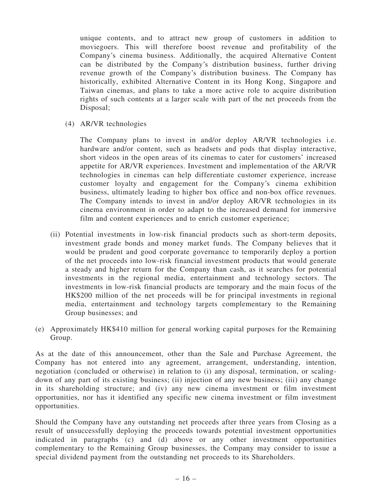unique contents, and to attract new group of customers in addition to moviegoers. This will therefore boost revenue and profitability of the Company's cinema business. Additionally, the acquired Alternative Content can be distributed by the Company's distribution business, further driving revenue growth of the Company's distribution business. The Company has historically, exhibited Alternative Content in its Hong Kong, Singapore and Taiwan cinemas, and plans to take a more active role to acquire distribution rights of such contents at a larger scale with part of the net proceeds from the Disposal;

(4) AR/VR technologies

The Company plans to invest in and/or deploy AR/VR technologies i.e. hardware and/or content, such as headsets and pods that display interactive, short videos in the open areas of its cinemas to cater for customers' increased appetite for AR/VR experiences. Investment and implementation of the AR/VR technologies in cinemas can help differentiate customer experience, increase customer loyalty and engagement for the Company's cinema exhibition business, ultimately leading to higher box office and non-box office revenues. The Company intends to invest in and/or deploy AR/VR technologies in its cinema environment in order to adapt to the increased demand for immersive film and content experiences and to enrich customer experience;

- (ii) Potential investments in low-risk financial products such as short-term deposits, investment grade bonds and money market funds. The Company believes that it would be prudent and good corporate governance to temporarily deploy a portion of the net proceeds into low-risk financial investment products that would generate a steady and higher return for the Company than cash, as it searches for potential investments in the regional media, entertainment and technology sectors. The investments in low-risk financial products are temporary and the main focus of the HK\$200 million of the net proceeds will be for principal investments in regional media, entertainment and technology targets complementary to the Remaining Group businesses; and
- (e) Approximately HK\$410 million for general working capital purposes for the Remaining Group.

As at the date of this announcement, other than the Sale and Purchase Agreement, the Company has not entered into any agreement, arrangement, understanding, intention, negotiation (concluded or otherwise) in relation to (i) any disposal, termination, or scalingdown of any part of its existing business; (ii) injection of any new business; (iii) any change in its shareholding structure; and (iv) any new cinema investment or film investment opportunities, nor has it identified any specific new cinema investment or film investment opportunities.

Should the Company have any outstanding net proceeds after three years from Closing as a result of unsuccessfully deploying the proceeds towards potential investment opportunities indicated in paragraphs (c) and (d) above or any other investment opportunities complementary to the Remaining Group businesses, the Company may consider to issue a special dividend payment from the outstanding net proceeds to its Shareholders.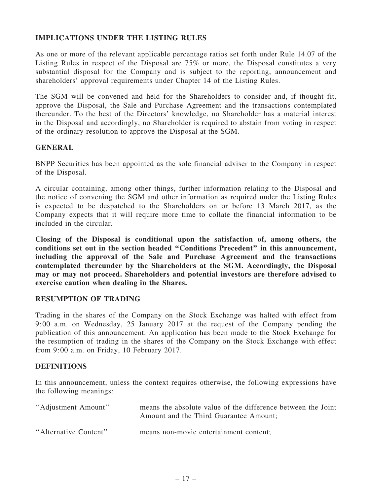# IMPLICATIONS UNDER THE LISTING RULES

As one or more of the relevant applicable percentage ratios set forth under Rule 14.07 of the Listing Rules in respect of the Disposal are 75% or more, the Disposal constitutes a very substantial disposal for the Company and is subject to the reporting, announcement and shareholders' approval requirements under Chapter 14 of the Listing Rules.

The SGM will be convened and held for the Shareholders to consider and, if thought fit, approve the Disposal, the Sale and Purchase Agreement and the transactions contemplated thereunder. To the best of the Directors' knowledge, no Shareholder has a material interest in the Disposal and accordingly, no Shareholder is required to abstain from voting in respect of the ordinary resolution to approve the Disposal at the SGM.

## GENERAL

BNPP Securities has been appointed as the sole financial adviser to the Company in respect of the Disposal.

A circular containing, among other things, further information relating to the Disposal and the notice of convening the SGM and other information as required under the Listing Rules is expected to be despatched to the Shareholders on or before 13 March 2017, as the Company expects that it will require more time to collate the financial information to be included in the circular.

Closing of the Disposal is conditional upon the satisfaction of, among others, the conditions set out in the section headed ''Conditions Precedent'' in this announcement, including the approval of the Sale and Purchase Agreement and the transactions contemplated thereunder by the Shareholders at the SGM. Accordingly, the Disposal may or may not proceed. Shareholders and potential investors are therefore advised to exercise caution when dealing in the Shares.

# RESUMPTION OF TRADING

Trading in the shares of the Company on the Stock Exchange was halted with effect from 9:00 a.m. on Wednesday, 25 January 2017 at the request of the Company pending the publication of this announcement. An application has been made to the Stock Exchange for the resumption of trading in the shares of the Company on the Stock Exchange with effect from 9:00 a.m. on Friday, 10 February 2017.

#### **DEFINITIONS**

In this announcement, unless the context requires otherwise, the following expressions have the following meanings:

| "Adjustment Amount"   | means the absolute value of the difference between the Joint<br>Amount and the Third Guarantee Amount; |
|-----------------------|--------------------------------------------------------------------------------------------------------|
| "Alternative Content" | means non-movie entertainment content;                                                                 |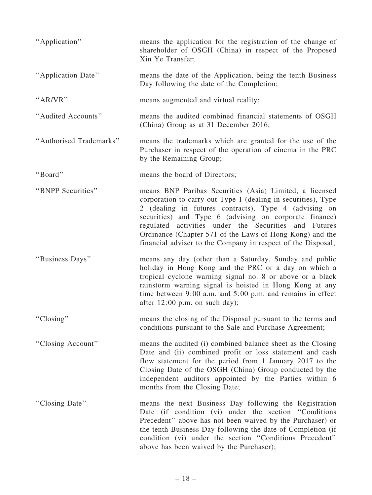| "Application"           | means the application for the registration of the change of<br>shareholder of OSGH (China) in respect of the Proposed<br>Xin Ye Transfer;                                                                                                                                                                                                                                                                                        |
|-------------------------|----------------------------------------------------------------------------------------------------------------------------------------------------------------------------------------------------------------------------------------------------------------------------------------------------------------------------------------------------------------------------------------------------------------------------------|
| "Application Date"      | means the date of the Application, being the tenth Business<br>Day following the date of the Completion;                                                                                                                                                                                                                                                                                                                         |
| " $AR/VR$ "             | means augmented and virtual reality;                                                                                                                                                                                                                                                                                                                                                                                             |
| "Audited Accounts"      | means the audited combined financial statements of OSGH<br>(China) Group as at 31 December 2016;                                                                                                                                                                                                                                                                                                                                 |
| "Authorised Trademarks" | means the trademarks which are granted for the use of the<br>Purchaser in respect of the operation of cinema in the PRC<br>by the Remaining Group;                                                                                                                                                                                                                                                                               |
| "Board"                 | means the board of Directors;                                                                                                                                                                                                                                                                                                                                                                                                    |
| "BNPP Securities"       | means BNP Paribas Securities (Asia) Limited, a licensed<br>corporation to carry out Type 1 (dealing in securities), Type<br>2 (dealing in futures contracts), Type 4 (advising on<br>securities) and Type 6 (advising on corporate finance)<br>regulated activities under the Securities and Futures<br>Ordinance (Chapter 571 of the Laws of Hong Kong) and the<br>financial adviser to the Company in respect of the Disposal; |
| "Business Days"         | means any day (other than a Saturday, Sunday and public<br>holiday in Hong Kong and the PRC or a day on which a<br>tropical cyclone warning signal no. 8 or above or a black<br>rainstorm warning signal is hoisted in Hong Kong at any<br>time between $9:00$ a.m. and $5:00$ p.m. and remains in effect<br>after $12:00$ p.m. on such day);                                                                                    |
| "Closing"               | means the closing of the Disposal pursuant to the terms and<br>conditions pursuant to the Sale and Purchase Agreement;                                                                                                                                                                                                                                                                                                           |
| "Closing Account"       | means the audited (i) combined balance sheet as the Closing<br>Date and (ii) combined profit or loss statement and cash<br>flow statement for the period from 1 January 2017 to the<br>Closing Date of the OSGH (China) Group conducted by the<br>independent auditors appointed by the Parties within 6<br>months from the Closing Date;                                                                                        |
| "Closing Date"          | means the next Business Day following the Registration<br>Date (if condition (vi) under the section "Conditions"<br>Precedent" above has not been waived by the Purchaser) or<br>the tenth Business Day following the date of Completion (if<br>condition (vi) under the section "Conditions Precedent"<br>above has been waived by the Purchaser);                                                                              |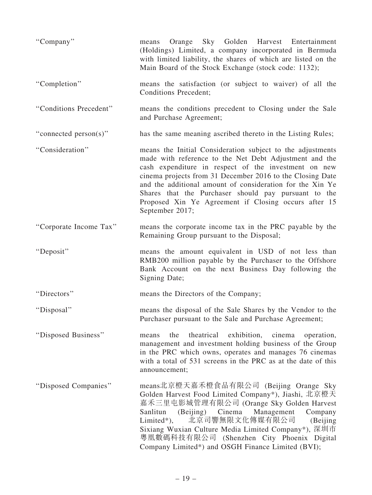| "Company"              | Orange Sky Golden Harvest Entertainment<br>means<br>(Holdings) Limited, a company incorporated in Bermuda<br>with limited liability, the shares of which are listed on the<br>Main Board of the Stock Exchange (stock code: 1132);                                                                                                                                                                                                        |
|------------------------|-------------------------------------------------------------------------------------------------------------------------------------------------------------------------------------------------------------------------------------------------------------------------------------------------------------------------------------------------------------------------------------------------------------------------------------------|
| "Completion"           | means the satisfaction (or subject to waiver) of all the<br><b>Conditions Precedent;</b>                                                                                                                                                                                                                                                                                                                                                  |
| "Conditions Precedent" | means the conditions precedent to Closing under the Sale<br>and Purchase Agreement;                                                                                                                                                                                                                                                                                                                                                       |
| "connected person(s)"  | has the same meaning ascribed thereto in the Listing Rules;                                                                                                                                                                                                                                                                                                                                                                               |
| "Consideration"        | means the Initial Consideration subject to the adjustments<br>made with reference to the Net Debt Adjustment and the<br>cash expenditure in respect of the investment on new<br>cinema projects from 31 December 2016 to the Closing Date<br>and the additional amount of consideration for the Xin Ye<br>Shares that the Purchaser should pay pursuant to the<br>Proposed Xin Ye Agreement if Closing occurs after 15<br>September 2017; |
| "Corporate Income Tax" | means the corporate income tax in the PRC payable by the<br>Remaining Group pursuant to the Disposal;                                                                                                                                                                                                                                                                                                                                     |
| "Deposit"              | means the amount equivalent in USD of not less than<br>RMB200 million payable by the Purchaser to the Offshore<br>Bank Account on the next Business Day following the<br>Signing Date;                                                                                                                                                                                                                                                    |
| "Directors"            | means the Directors of the Company;                                                                                                                                                                                                                                                                                                                                                                                                       |
| "Disposal"             | means the disposal of the Sale Shares by the Vendor to the<br>Purchaser pursuant to the Sale and Purchase Agreement;                                                                                                                                                                                                                                                                                                                      |
| "Disposed Business"    | theatrical<br>exhibition,<br>cinema<br>means<br>the<br>operation,<br>management and investment holding business of the Group<br>in the PRC which owns, operates and manages 76 cinemas<br>with a total of 531 screens in the PRC as at the date of this<br>announcement;                                                                                                                                                                  |
| "Disposed Companies"   | means北京橙天嘉禾橙食品有限公司 (Beijing Orange Sky<br>Golden Harvest Food Limited Company*), Jiashi, 北京橙天<br>嘉禾三里屯影城管理有限公司 (Orange Sky Golden Harvest<br>Cinema<br>Management<br>Company<br>Sanlitun<br>(Beijing)<br>北京司響無限文化傳媒有限公司<br>Limited*),<br>(Beijing<br>Sixiang Wuxian Culture Media Limited Company*), 深圳市<br>粵凰數碼科技有限公司 (Shenzhen City Phoenix Digital<br>Company Limited*) and OSGH Finance Limited (BVI);                                |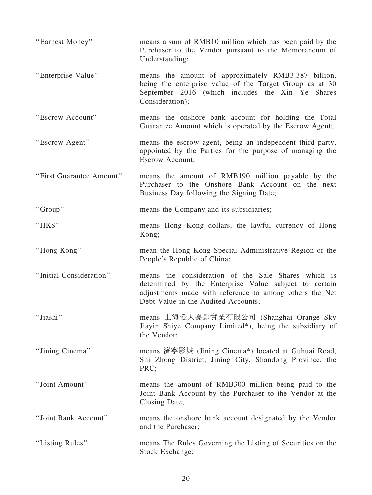| "Earnest Money"          | means a sum of RMB10 million which has been paid by the<br>Purchaser to the Vendor pursuant to the Memorandum of<br>Understanding;                                                                             |
|--------------------------|----------------------------------------------------------------------------------------------------------------------------------------------------------------------------------------------------------------|
| "Enterprise Value"       | means the amount of approximately RMB3.387 billion,<br>being the enterprise value of the Target Group as at 30<br>September 2016 (which includes the Xin Ye Shares<br>Consideration);                          |
| "Escrow Account"         | means the onshore bank account for holding the Total<br>Guarantee Amount which is operated by the Escrow Agent;                                                                                                |
| "Escrow Agent"           | means the escrow agent, being an independent third party,<br>appointed by the Parties for the purpose of managing the<br><b>Escrow Account;</b>                                                                |
| "First Guarantee Amount" | means the amount of RMB190 million payable by the<br>Purchaser to the Onshore Bank Account on the next<br>Business Day following the Signing Date;                                                             |
| "Group"                  | means the Company and its subsidiaries;                                                                                                                                                                        |
| "HK\$"                   | means Hong Kong dollars, the lawful currency of Hong<br>Kong;                                                                                                                                                  |
| "Hong Kong"              | mean the Hong Kong Special Administrative Region of the<br>People's Republic of China;                                                                                                                         |
| "Initial Consideration"  | means the consideration of the Sale Shares which is<br>determined by the Enterprise Value subject to certain<br>adjustments made with reference to among others the Net<br>Debt Value in the Audited Accounts; |
| "Jiashi"                 | means 上海橙天嘉影實業有限公司 (Shanghai Orange Sky<br>Jiayin Shiye Company Limited*), being the subsidiary of<br>the Vendor;                                                                                              |
| "Jining Cinema"          | means 濟寧影城 (Jining Cinema*) located at Guhuai Road,<br>Shi Zhong District, Jining City, Shandong Province, the<br>PRC;                                                                                         |
| "Joint Amount"           | means the amount of RMB300 million being paid to the<br>Joint Bank Account by the Purchaser to the Vendor at the<br>Closing Date;                                                                              |
| "Joint Bank Account"     | means the onshore bank account designated by the Vendor<br>and the Purchaser;                                                                                                                                  |
| "Listing Rules"          | means The Rules Governing the Listing of Securities on the<br>Stock Exchange;                                                                                                                                  |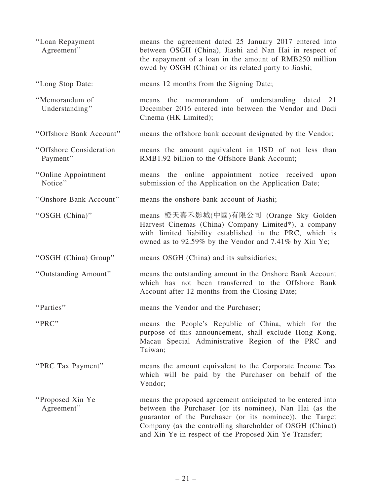| "Loan Repayment<br>Agreement"       | means the agreement dated 25 January 2017 entered into<br>between OSGH (China), Jiashi and Nan Hai in respect of<br>the repayment of a loan in the amount of RMB250 million<br>owed by OSGH (China) or its related party to Jiashi;                                                                      |
|-------------------------------------|----------------------------------------------------------------------------------------------------------------------------------------------------------------------------------------------------------------------------------------------------------------------------------------------------------|
| "Long Stop Date:                    | means 12 months from the Signing Date;                                                                                                                                                                                                                                                                   |
| "Memorandum of<br>Understanding"    | the memorandum of understanding dated<br>21<br>means<br>December 2016 entered into between the Vendor and Dadi<br>Cinema (HK Limited);                                                                                                                                                                   |
| "Offshore Bank Account"             | means the offshore bank account designated by the Vendor;                                                                                                                                                                                                                                                |
| "Offshore Consideration<br>Payment" | means the amount equivalent in USD of not less than<br>RMB1.92 billion to the Offshore Bank Account;                                                                                                                                                                                                     |
| "Online Appointment<br>Notice"      | means the online appointment notice received<br>upon<br>submission of the Application on the Application Date;                                                                                                                                                                                           |
| "Onshore Bank Account"              | means the onshore bank account of Jiashi;                                                                                                                                                                                                                                                                |
| "OSGH (China)"                      | means 橙天嘉禾影城(中國)有限公司 (Orange Sky Golden<br>Harvest Cinemas (China) Company Limited*), a company<br>with limited liability established in the PRC, which is<br>owned as to 92.59% by the Vendor and 7.41% by Xin Ye;                                                                                      |
| "OSGH (China) Group"                | means OSGH (China) and its subsidiaries;                                                                                                                                                                                                                                                                 |
| "Outstanding Amount"                | means the outstanding amount in the Onshore Bank Account<br>which has not been transferred to the Offshore Bank<br>Account after 12 months from the Closing Date;                                                                                                                                        |
| "Parties"                           | means the Vendor and the Purchaser;                                                                                                                                                                                                                                                                      |
| "PRC"                               | means the People's Republic of China, which for the<br>purpose of this announcement, shall exclude Hong Kong,<br>Macau Special Administrative Region of the PRC and<br>Taiwan;                                                                                                                           |
| "PRC Tax Payment"                   | means the amount equivalent to the Corporate Income Tax<br>which will be paid by the Purchaser on behalf of the<br>Vendor;                                                                                                                                                                               |
| "Proposed Xin Ye<br>Agreement"      | means the proposed agreement anticipated to be entered into<br>between the Purchaser (or its nominee), Nan Hai (as the<br>guarantor of the Purchaser (or its nominee)), the Target<br>Company (as the controlling shareholder of OSGH (China))<br>and Xin Ye in respect of the Proposed Xin Ye Transfer; |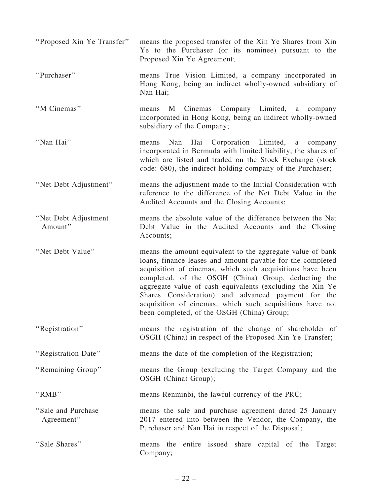| "Proposed Xin Ye Transfer"        | means the proposed transfer of the Xin Ye Shares from Xin<br>Ye to the Purchaser (or its nominee) pursuant to the<br>Proposed Xin Ye Agreement;                                                                                                                                                                                                                                                                                                                           |
|-----------------------------------|---------------------------------------------------------------------------------------------------------------------------------------------------------------------------------------------------------------------------------------------------------------------------------------------------------------------------------------------------------------------------------------------------------------------------------------------------------------------------|
| "Purchaser"                       | means True Vision Limited, a company incorporated in<br>Hong Kong, being an indirect wholly-owned subsidiary of<br>Nan Hai;                                                                                                                                                                                                                                                                                                                                               |
| "M Cinemas"                       | Cinemas Company Limited, a company<br>M<br>means<br>incorporated in Hong Kong, being an indirect wholly-owned<br>subsidiary of the Company;                                                                                                                                                                                                                                                                                                                               |
| "Nan Hai"                         | Nan<br>Hai<br>Corporation Limited,<br>means<br>a a<br>company<br>incorporated in Bermuda with limited liability, the shares of<br>which are listed and traded on the Stock Exchange (stock<br>code: 680), the indirect holding company of the Purchaser;                                                                                                                                                                                                                  |
| "Net Debt Adjustment"             | means the adjustment made to the Initial Consideration with<br>reference to the difference of the Net Debt Value in the<br>Audited Accounts and the Closing Accounts;                                                                                                                                                                                                                                                                                                     |
| "Net Debt Adjustment"<br>Amount"  | means the absolute value of the difference between the Net<br>Debt Value in the Audited Accounts and the Closing<br>Accounts;                                                                                                                                                                                                                                                                                                                                             |
| "Net Debt Value"                  | means the amount equivalent to the aggregate value of bank<br>loans, finance leases and amount payable for the completed<br>acquisition of cinemas, which such acquisitions have been<br>completed, of the OSGH (China) Group, deducting the<br>aggregate value of cash equivalents (excluding the Xin Ye<br>Shares Consideration) and advanced payment for the<br>acquisition of cinemas, which such acquisitions have not<br>been completed, of the OSGH (China) Group; |
| "Registration"                    | means the registration of the change of shareholder of<br>OSGH (China) in respect of the Proposed Xin Ye Transfer;                                                                                                                                                                                                                                                                                                                                                        |
| "Registration Date"               | means the date of the completion of the Registration;                                                                                                                                                                                                                                                                                                                                                                                                                     |
| "Remaining Group"                 | means the Group (excluding the Target Company and the<br>OSGH (China) Group);                                                                                                                                                                                                                                                                                                                                                                                             |
| "RMB"                             | means Renminbi, the lawful currency of the PRC;                                                                                                                                                                                                                                                                                                                                                                                                                           |
| "Sale and Purchase"<br>Agreement" | means the sale and purchase agreement dated 25 January<br>2017 entered into between the Vendor, the Company, the<br>Purchaser and Nan Hai in respect of the Disposal;                                                                                                                                                                                                                                                                                                     |
| "Sale Shares"                     | means the entire issued share capital of the Target<br>Company;                                                                                                                                                                                                                                                                                                                                                                                                           |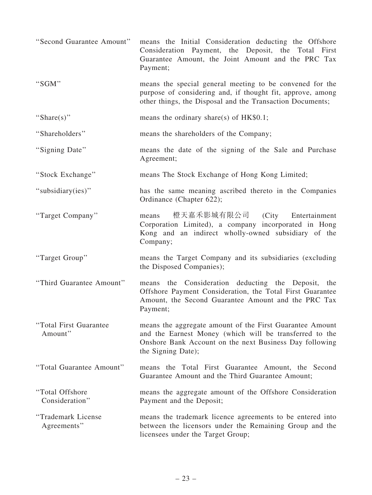| "Second Guarantee Amount"          | means the Initial Consideration deducting the Offshore<br>Consideration Payment, the Deposit, the Total First<br>Guarantee Amount, the Joint Amount and the PRC Tax<br>Payment;                      |
|------------------------------------|------------------------------------------------------------------------------------------------------------------------------------------------------------------------------------------------------|
| "SGM"                              | means the special general meeting to be convened for the<br>purpose of considering and, if thought fit, approve, among<br>other things, the Disposal and the Transaction Documents;                  |
| "Share(s)"                         | means the ordinary share(s) of $HK$0.1$ ;                                                                                                                                                            |
| "Shareholders"                     | means the shareholders of the Company;                                                                                                                                                               |
| "Signing Date"                     | means the date of the signing of the Sale and Purchase<br>Agreement;                                                                                                                                 |
| "Stock Exchange"                   | means The Stock Exchange of Hong Kong Limited;                                                                                                                                                       |
| "subsidiary(ies)"                  | has the same meaning ascribed thereto in the Companies<br>Ordinance (Chapter 622);                                                                                                                   |
| "Target Company"                   | 橙天嘉禾影城有限公司<br>(City Entertainment)<br>means<br>Corporation Limited), a company incorporated in Hong<br>Kong and an indirect wholly-owned subsidiary of the<br>Company;                               |
| "Target Group"                     | means the Target Company and its subsidiaries (excluding<br>the Disposed Companies);                                                                                                                 |
| "Third Guarantee Amount"           | the Consideration deducting the Deposit, the<br>means<br>Offshore Payment Consideration, the Total First Guarantee<br>Amount, the Second Guarantee Amount and the PRC Tax<br>Payment;                |
| "Total First Guarantee"<br>Amount" | means the aggregate amount of the First Guarantee Amount<br>and the Earnest Money (which will be transferred to the<br>Onshore Bank Account on the next Business Day following<br>the Signing Date); |
| "Total Guarantee Amount"           | means the Total First Guarantee Amount, the Second<br>Guarantee Amount and the Third Guarantee Amount;                                                                                               |
| "Total Offshore"<br>Consideration" | means the aggregate amount of the Offshore Consideration<br>Payment and the Deposit;                                                                                                                 |
| "Trademark License<br>Agreements"  | means the trademark licence agreements to be entered into<br>between the licensors under the Remaining Group and the<br>licensees under the Target Group;                                            |